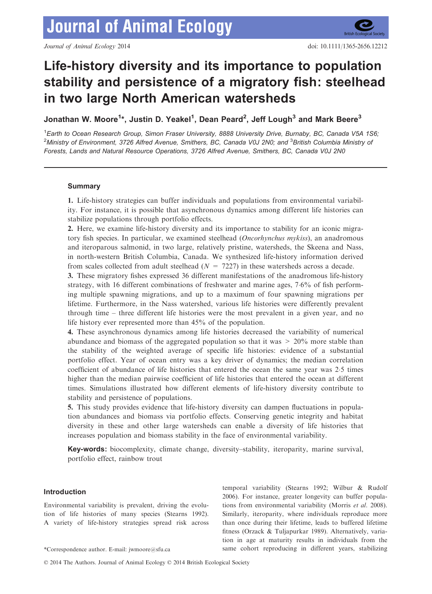# Life-history diversity and its importance to population stability and persistence of a migratory fish: steelhead in two large North American watersheds

Jonathan W. Moore<sup>1</sup>\*, Justin D. Yeakel<sup>1</sup>, Dean Peard<sup>2</sup>, Jeff Lough<sup>3</sup> and Mark Beere<sup>3</sup>

<sup>1</sup> Earth to Ocean Research Group, Simon Fraser University, 8888 University Drive, Burnaby, BC, Canada V5A 1S6; <sup>2</sup>Ministry of Environment, 3726 Alfred Avenue, Smithers, BC, Canada V0J 2N0; and <sup>3</sup>British Columbia Ministry oi Forests, Lands and Natural Resource Operations, 3726 Alfred Avenue, Smithers, BC, Canada V0J 2N0

# **Summary**

1. Life-history strategies can buffer individuals and populations from environmental variability. For instance, it is possible that asynchronous dynamics among different life histories can stabilize populations through portfolio effects.

2. Here, we examine life-history diversity and its importance to stability for an iconic migratory fish species. In particular, we examined steelhead (Oncorhynchus mykiss), an anadromous and iteroparous salmonid, in two large, relatively pristine, watersheds, the Skeena and Nass, in north-western British Columbia, Canada. We synthesized life-history information derived from scales collected from adult steelhead  $(N = 7227)$  in these watersheds across a decade.

3. These migratory fishes expressed 36 different manifestations of the anadromous life-history strategy, with 16 different combinations of freshwater and marine ages, 76% of fish performing multiple spawning migrations, and up to a maximum of four spawning migrations per lifetime. Furthermore, in the Nass watershed, various life histories were differently prevalent through time – three different life histories were the most prevalent in a given year, and no life history ever represented more than 45% of the population.

4. These asynchronous dynamics among life histories decreased the variability of numerical abundance and biomass of the aggregated population so that it was  $> 20\%$  more stable than the stability of the weighted average of specific life histories: evidence of a substantial portfolio effect. Year of ocean entry was a key driver of dynamics; the median correlation coefficient of abundance of life histories that entered the ocean the same year was 25 times higher than the median pairwise coefficient of life histories that entered the ocean at different times. Simulations illustrated how different elements of life-history diversity contribute to stability and persistence of populations.

5. This study provides evidence that life-history diversity can dampen fluctuations in population abundances and biomass via portfolio effects. Conserving genetic integrity and habitat diversity in these and other large watersheds can enable a diversity of life histories that increases population and biomass stability in the face of environmental variability.

Key-words: biocomplexity, climate change, diversity–stability, iteroparity, marine survival, portfolio effect, rainbow trout

# Introduction

Environmental variability is prevalent, driving the evolution of life histories of many species (Stearns 1992). A variety of life-history strategies spread risk across

temporal variability (Stearns 1992; Wilbur & Rudolf 2006). For instance, greater longevity can buffer populations from environmental variability (Morris et al. 2008). Similarly, iteroparity, where individuals reproduce more than once during their lifetime, leads to buffered lifetime fitness (Orzack & Tuljapurkar 1989). Alternatively, variation in age at maturity results in individuals from the \*Correspondence author. E-mail: jwmoore@sfu.ca same cohort reproducing in different years, stabilizing

© 2014 The Authors. Journal of Animal Ecology © 2014 British Ecological Society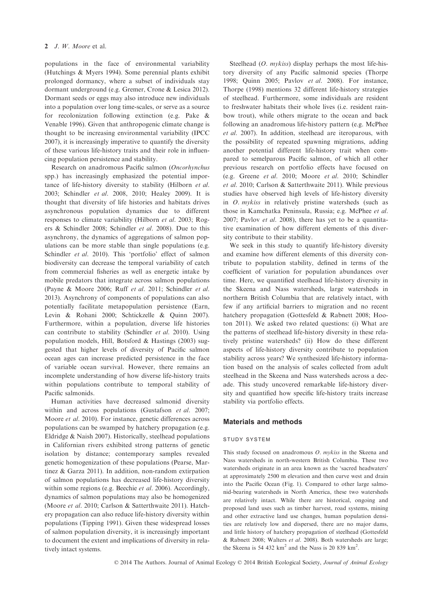populations in the face of environmental variability (Hutchings & Myers 1994). Some perennial plants exhibit prolonged dormancy, where a subset of individuals stay dormant underground (e.g. Gremer, Crone & Lesica 2012). Dormant seeds or eggs may also introduce new individuals into a population over long time-scales, or serve as a source for recolonization following extinction (e.g. Pake & Venable 1996). Given that anthropogenic climate change is thought to be increasing environmental variability (IPCC 2007), it is increasingly imperative to quantify the diversity of these various life-history traits and their role in influencing population persistence and stability.

Research on anadromous Pacific salmon (Oncorhynchus spp.) has increasingly emphasized the potential importance of life-history diversity to stability (Hilborn et al. 2003; Schindler et al. 2008, 2010; Healey 2009). It is thought that diversity of life histories and habitats drives asynchronous population dynamics due to different responses to climate variability (Hilborn et al. 2003; Rogers & Schindler 2008; Schindler et al. 2008). Due to this asynchrony, the dynamics of aggregations of salmon populations can be more stable than single populations (e.g. Schindler et al. 2010). This 'portfolio' effect of salmon biodiversity can decrease the temporal variability of catch from commercial fisheries as well as energetic intake by mobile predators that integrate across salmon populations (Payne & Moore 2006; Ruff et al. 2011; Schindler et al. 2013). Asynchrony of components of populations can also potentially facilitate metapopulation persistence (Earn, Levin & Rohani 2000; Schtickzelle & Quinn 2007). Furthermore, within a population, diverse life histories can contribute to stability (Schindler et al. 2010). Using population models, Hill, Botsford & Hastings (2003) suggested that higher levels of diversity of Pacific salmon ocean ages can increase predicted persistence in the face of variable ocean survival. However, there remains an incomplete understanding of how diverse life-history traits within populations contribute to temporal stability of Pacific salmonids.

Human activities have decreased salmonid diversity within and across populations (Gustafson et al. 2007; Moore *et al.* 2010). For instance, genetic differences across populations can be swamped by hatchery propagation (e.g. Eldridge & Naish 2007). Historically, steelhead populations in Californian rivers exhibited strong patterns of genetic isolation by distance; contemporary samples revealed genetic homogenization of these populations (Pearse, Martinez & Garza 2011). In addition, non-random extirpation of salmon populations has decreased life-history diversity within some regions (e.g. Beechie et al. 2006). Accordingly, dynamics of salmon populations may also be homogenized (Moore et al. 2010; Carlson & Satterthwaite 2011). Hatchery propagation can also reduce life-history diversity within populations (Tipping 1991). Given these widespread losses of salmon population diversity, it is increasingly important to document the extent and implications of diversity in relatively intact systems.

Steelhead (*O. mykiss*) display perhaps the most life-history diversity of any Pacific salmonid species (Thorpe 1998; Quinn 2005; Pavlov et al. 2008). For instance, Thorpe (1998) mentions 32 different life-history strategies of steelhead. Furthermore, some individuals are resident to freshwater habitats their whole lives (i.e. resident rainbow trout), while others migrate to the ocean and back following an anadromous life-history pattern (e.g. McPhee et al. 2007). In addition, steelhead are iteroparous, with the possibility of repeated spawning migrations, adding another potential different life-history trait when compared to semelparous Pacific salmon, of which all other previous research on portfolio effects have focused on (e.g. Greene et al. 2010; Moore et al. 2010; Schindler et al. 2010; Carlson & Satterthwaite 2011). While previous studies have observed high levels of life-history diversity in O. mykiss in relatively pristine watersheds (such as those in Kamchatka Peninsula, Russia; e.g. McPhee et al. 2007; Pavlov et al. 2008), there has yet to be a quantitative examination of how different elements of this diversity contribute to their stability.

We seek in this study to quantify life-history diversity and examine how different elements of this diversity contribute to population stability, defined in terms of the coefficient of variation for population abundances over time. Here, we quantified steelhead life-history diversity in the Skeena and Nass watersheds, large watersheds in northern British Columbia that are relatively intact, with few if any artificial barriers to migration and no recent hatchery propagation (Gottesfeld & Rabnett 2008; Hooton 2011). We asked two related questions: (i) What are the patterns of steelhead life-history diversity in these relatively pristine watersheds? (ii) How do these different aspects of life-history diversity contribute to population stability across years? We synthesized life-history information based on the analysis of scales collected from adult steelhead in the Skeena and Nass watersheds across a decade. This study uncovered remarkable life-history diversity and quantified how specific life-history traits increase stability via portfolio effects.

#### Materials and methods

#### study system

This study focused on anadromous O. mykiss in the Skeena and Nass watersheds in north-western British Columbia. These two watersheds originate in an area known as the 'sacred headwaters' at approximately 2500 m elevation and then curve west and drain into the Pacific Ocean (Fig. 1). Compared to other large salmonid-bearing watersheds in North America, these two watersheds are relatively intact. While there are historical, ongoing and proposed land uses such as timber harvest, road systems, mining and other extractive land use changes, human population densities are relatively low and dispersed, there are no major dams, and little history of hatchery propagation of steelhead (Gottesfeld & Rabnett 2008; Walters et al. 2008). Both watersheds are large; the Skeena is 54 432  $km^2$  and the Nass is 20 839  $km^2$ .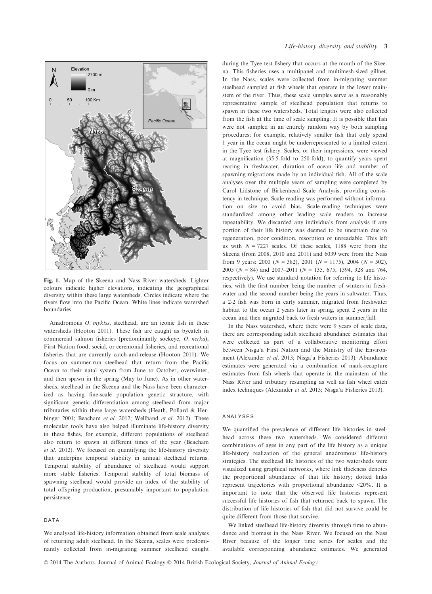

Fig. 1. Map of the Skeena and Nass River watersheds. Lighter colours indicate higher elevations, indicating the geographical diversity within these large watersheds. Circles indicate where the rivers flow into the Pacific Ocean. White lines indicate watershed boundaries.

Anadromous O. mykiss, steelhead, are an iconic fish in these watersheds (Hooton 2011). These fish are caught as bycatch in commercial salmon fisheries (predominantly sockeye, O. nerka), First Nation food, social, or ceremonial fisheries, and recreational fisheries that are currently catch-and-release (Hooton 2011). We focus on summer-run steelhead that return from the Pacific Ocean to their natal system from June to October, overwinter, and then spawn in the spring (May to June). As in other watersheds, steelhead in the Skeena and the Nass have been characterized as having fine-scale population genetic structure, with significant genetic differentiation among steelhead from major tributaries within these large watersheds (Heath, Pollard & Herbinger 2001; Beacham et al. 2012; Wellband et al. 2012). These molecular tools have also helped illuminate life-history diversity in these fishes, for example, different populations of steelhead also return to spawn at different times of the year (Beacham et al. 2012). We focused on quantifying the life-history diversity that underpins temporal stability in annual steelhead returns. Temporal stability of abundance of steelhead would support more stable fisheries. Temporal stability of total biomass of spawning steelhead would provide an index of the stability of total offspring production, presumably important to population persistence.

#### DATA

We analysed life-history information obtained from scale analyses of returning adult steelhead. In the Skeena, scales were predominantly collected from in-migrating summer steelhead caught

during the Tyee test fishery that occurs at the mouth of the Skeena. This fisheries uses a multipanel and multimesh-sized gillnet. In the Nass, scales were collected from in-migrating summer steelhead sampled at fish wheels that operate in the lower mainstem of the river. Thus, these scale samples serve as a reasonably representative sample of steelhead population that returns to spawn in these two watersheds. Total lengths were also collected from the fish at the time of scale sampling. It is possible that fish were not sampled in an entirely random way by both sampling procedures; for example, relatively smaller fish that only spend 1 year in the ocean might be underrepresented to a limited extent in the Tyee test fishery. Scales, or their impressions, were viewed at magnification (355-fold to 250-fold), to quantify years spent rearing in freshwater, duration of ocean life and number of spawning migrations made by an individual fish. All of the scale analyses over the multiple years of sampling were completed by Carol Lidstone of Birkenhead Scale Analysis, providing consistency in technique. Scale reading was performed without information on size to avoid bias. Scale-reading techniques were standardized among other leading scale readers to increase repeatability. We discarded any individuals from analysis if any portion of their life history was deemed to be uncertain due to regeneration, poor condition, resorption or unreadable. This left us with  $N = 7227$  scales. Of these scales, 1188 were from the Skeena (from 2008, 2010 and 2011) and 6039 were from the Nass from 9 years: 2000 ( $N = 382$ ), 2001 ( $N = 1175$ ), 2004 ( $N = 502$ ), 2005 ( $N = 84$ ) and 2007–2011 ( $N = 135, 675, 1394, 928$  and 764, respectively). We use standard notation for referring to life histories, with the first number being the number of winters in freshwater and the second number being the years in saltwater. Thus, a 22 fish was born in early summer, migrated from freshwater habitat to the ocean 2 years later in spring, spent 2 years in the ocean and then migrated back to fresh waters in summer/fall.

In the Nass watershed, where there were 9 years of scale data, there are corresponding adult steelhead abundance estimates that were collected as part of a collaborative monitoring effort between Nisga'a First Nation and the Ministry of the Environment (Alexander et al. 2013; Nisga'a Fisheries 2013). Abundance estimates were generated via a combination of mark-recapture estimates from fish wheels that operate in the mainstem of the Nass River and tributary resampling as well as fish wheel catch index techniques (Alexander et al. 2013; Nisga'a Fisheries 2013).

#### analyses

We quantified the prevalence of different life histories in steelhead across these two watersheds. We considered different combinations of ages in any part of the life history as a unique life-history realization of the general anadromous life-history strategies. The steelhead life histories of the two watersheds were visualized using graphical networks, where link thickness denotes the proportional abundance of that life history; dotted links represent trajectories with proportional abundance <20%. It is important to note that the observed life histories represent successful life histories of fish that returned back to spawn. The distribution of life histories of fish that did not survive could be quite different from those that survive.

We linked steelhead life-history diversity through time to abundance and biomass in the Nass River. We focused on the Nass River because of the longer time series for scales and the available corresponding abundance estimates. We generated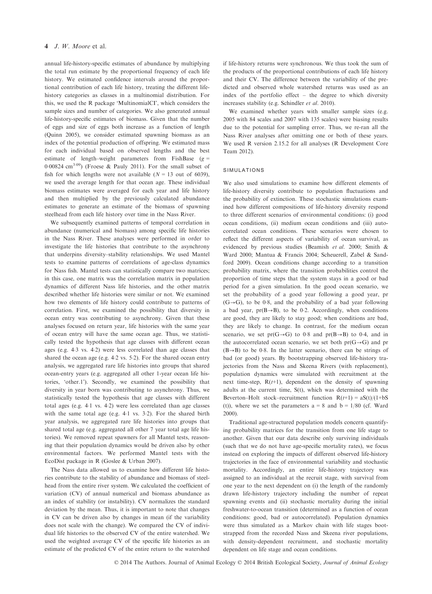#### 4 J. W. Moore et al.

annual life-history-specific estimates of abundance by multiplying the total run estimate by the proportional frequency of each life history. We estimated confidence intervals around the proportional contribution of each life history, treating the different lifehistory categories as classes in a multinomial distribution. For this, we used the R package 'MultinomialCI', which considers the sample sizes and number of categories. We also generated annual life-history-specific estimates of biomass. Given that the number of eggs and size of eggs both increase as a function of length (Quinn 2005), we consider estimated spawning biomass as an index of the potential production of offspring. We estimated mass for each individual based on observed lengths and the best estimate of length–weight parameters from FishBase  $(g =$ 0.00824 cm<sup>3.09</sup>) (Froese & Pauly 2011). For the small subset of fish for which lengths were not available  $(N = 13$  out of 6039), we used the average length for that ocean age. These individual biomass estimates were averaged for each year and life history and then multiplied by the previously calculated abundance estimates to generate an estimate of the biomass of spawning steelhead from each life history over time in the Nass River.

We subsequently examined patterns of temporal correlation in abundance (numerical and biomass) among specific life histories in the Nass River. These analyses were performed in order to investigate the life histories that contribute to the asynchrony that underpins diversity–stability relationships. We used Mantel tests to examine patterns of correlations of age-class dynamics for Nass fish. Mantel tests can statistically compare two matrices; in this case, one matrix was the correlation matrix in population dynamics of different Nass life histories, and the other matrix described whether life histories were similar or not. We examined how two elements of life history could contribute to patterns of correlation. First, we examined the possibility that diversity in ocean entry was contributing to asynchrony. Given that these analyses focused on return year, life histories with the same year of ocean entry will have the same ocean age. Thus, we statistically tested the hypothesis that age classes with different ocean ages (e.g. 43 vs. 42) were less correlated than age classes that shared the ocean age (e.g. 42 vs. 52). For the shared ocean entry analysis, we aggregated rare life histories into groups that shared ocean-entry years (e.g. aggregated all other 1-year ocean life histories, 'other.1'). Secondly, we examined the possibility that diversity in year born was contributing to asynchrony. Thus, we statistically tested the hypothesis that age classes with different total ages (e.g. 41 vs. 42) were less correlated than age classes with the same total age (e.g. 4.1 vs. 3.2). For the shared birth year analysis, we aggregated rare life histories into groups that shared total age (e.g. aggregated all other 7 year total age life histories). We removed repeat spawners for all Mantel tests, reasoning that their population dynamics would be driven also by other environmental factors. We performed Mantel tests with the EcoDist package in R (Goslee & Urban 2007).

The Nass data allowed us to examine how different life histories contribute to the stability of abundance and biomass of steelhead from the entire river system. We calculated the coefficient of variation (CV) of annual numerical and biomass abundance as an index of stability (or instability). CV normalizes the standard deviation by the mean. Thus, it is important to note that changes in CV can be driven also by changes in mean (if the variability does not scale with the change). We compared the CV of individual life histories to the observed CV of the entire watershed. We used the weighted average CV of the specific life histories as an estimate of the predicted CV of the entire return to the watershed if life-history returns were synchronous. We thus took the sum of the products of the proportional contributions of each life history and their CV. The difference between the variability of the predicted and observed whole watershed returns was used as an index of the portfolio effect – the degree to which diversity increases stability (e.g. Schindler et al. 2010).

We examined whether years with smaller sample sizes (e.g. 2005 with 84 scales and 2007 with 135 scales) were biasing results due to the potential for sampling error. Thus, we re-ran all the Nass River analyses after omitting one or both of these years. We used R version 2.15.2 for all analyses (R Development Core Team 2012).

## **SIMULATIONS**

We also used simulations to examine how different elements of life-history diversity contribute to population fluctuations and the probability of extinction. These stochastic simulations examined how different compositions of life-history diversity respond to three different scenarios of environmental conditions: (i) good ocean conditions, (ii) medium ocean conditions and (iii) autocorrelated ocean conditions. These scenarios were chosen to reflect the different aspects of variability of ocean survival, as evidenced by previous studies (Beamish et al. 2000; Smith & Ward 2000; Mantua & Francis 2004; Scheuerell, Zabel & Sandford 2009). Ocean conditions change according to a transition probability matrix, where the transition probabilities control the proportion of time steps that the system stays in a good or bad period for a given simulation. In the good ocean scenario, we set the probability of a good year following a good year, pr  $(G \rightarrow G)$ , to be 0.8, and the probability of a bad year following a bad year,  $pr(B \rightarrow B)$ , to be 0.2. Accordingly, when conditions are good, they are likely to stay good; when conditions are bad, they are likely to change. In contrast, for the medium ocean scenario, we set pr(G $\rightarrow$ G) to 0.8 and pr(B $\rightarrow$ B) to 0.4, and in the autocorrelated ocean scenario, we set both  $pr(G \rightarrow G)$  and pr  $(B \rightarrow B)$  to be 0.8. In the latter scenario, there can be strings of bad (or good) years. By bootstrapping observed life-history trajectories from the Nass and Skeena Rivers (with replacement), population dynamics were simulated with recruitment at the next time-step,  $R(t+1)$ , dependent on the density of spawning adults at the current time, S(t), which was determined with the Beverton–Holt stock–recruitment function  $R(t+1) = aS(t)/(1+bS)$ (t)), where we set the parameters  $a = 8$  and  $b = 1/80$  (cf. Ward 2000).

Traditional age-structured population models concern quantifying probability matrices for the transition from one life stage to another. Given that our data describe only surviving individuals (such that we do not have age-specific mortality rates), we focus instead on exploring the impacts of different observed life-history trajectories in the face of environmental variability and stochastic mortality. Accordingly, an entire life-history trajectory was assigned to an individual at the recruit stage, with survival from one year to the next dependent on (i) the length of the randomly drawn life-history trajectory including the number of repeat spawning events and (ii) stochastic mortality during the initial freshwater-to-ocean transition (determined as a function of ocean conditions: good, bad or autocorrelated). Population dynamics were thus simulated as a Markov chain with life stages bootstrapped from the recorded Nass and Skeena river populations, with density-dependent recruitment, and stochastic mortality dependent on life stage and ocean conditions.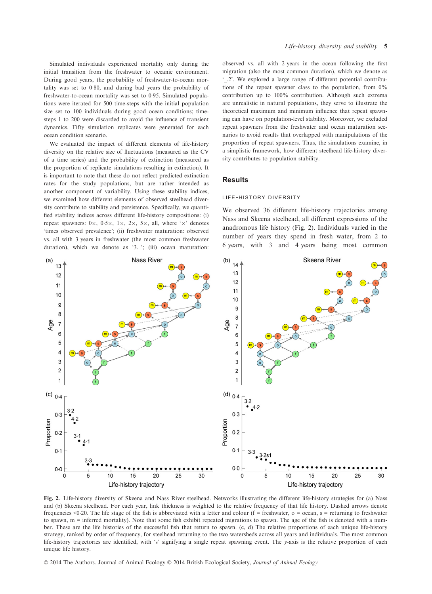Simulated individuals experienced mortality only during the initial transition from the freshwater to oceanic environment. During good years, the probability of freshwater-to-ocean mortality was set to 0.80, and during bad years the probability of freshwater-to-ocean mortality was set to 0.95. Simulated populations were iterated for 500 time-steps with the initial population size set to 100 individuals during good ocean conditions; timesteps 1 to 200 were discarded to avoid the influence of transient dynamics. Fifty simulation replicates were generated for each ocean condition scenario.

We evaluated the impact of different elements of life-history diversity on the relative size of fluctuations (measured as the CV of a time series) and the probability of extinction (measured as the proportion of replicate simulations resulting in extinction). It is important to note that these do not reflect predicted extinction rates for the study populations, but are rather intended as another component of variability. Using these stability indices, we examined how different elements of observed steelhead diversity contribute to stability and persistence. Specifically, we quantified stability indices across different life-history compositions: (i) repeat spawners:  $0 \times$ ,  $0.5 \times$ ,  $1 \times$ ,  $2 \times$ ,  $5 \times$ , all, where ' $\times$ ' denotes 'times observed prevalence'; (ii) freshwater maturation: observed vs. all with 3 years in freshwater (the most common freshwater duration), which we denote as '3. '; (iii) ocean maturation:

observed vs. all with 2 years in the ocean following the first migration (also the most common duration), which we denote as '\_.2'. We explored a large range of different potential contributions of the repeat spawner class to the population, from  $0\%$ contribution up to 100% contribution. Although such extrema are unrealistic in natural populations, they serve to illustrate the theoretical maximum and minimum influence that repeat spawning can have on population-level stability. Moreover, we excluded repeat spawners from the freshwater and ocean maturation scenarios to avoid results that overlapped with manipulations of the proportion of repeat spawners. Thus, the simulations examine, in a simplistic framework, how different steelhead life-history diversity contributes to population stability.

## **Results**

#### life-history diversity

We observed 36 different life-history trajectories among Nass and Skeena steelhead, all different expressions of the anadromous life history (Fig. 2). Individuals varied in the number of years they spend in fresh water, from 2 to 6 years, with 3 and 4 years being most common



Fig. 2. Life-history diversity of Skeena and Nass River steelhead. Networks illustrating the different life-history strategies for (a) Nass and (b) Skeena steelhead. For each year, link thickness is weighted to the relative frequency of that life history. Dashed arrows denote frequencies <0.20. The life stage of the fish is abbreviated with a letter and colour ( $f =$  freshwater,  $o =$  ocean,  $s =$  returning to freshwater to spawn, m = inferred mortality). Note that some fish exhibit repeated migrations to spawn. The age of the fish is denoted with a number. These are the life histories of the successful fish that return to spawn. (c, d) The relative proportions of each unique life-history strategy, ranked by order of frequency, for steelhead returning to the two watersheds across all years and individuals. The most common life-history trajectories are identified, with 's' signifying a single repeat spawning event. The y-axis is the relative proportion of each unique life history.

© 2014 The Authors. Journal of Animal Ecology © 2014 British Ecological Society, Journal of Animal Ecology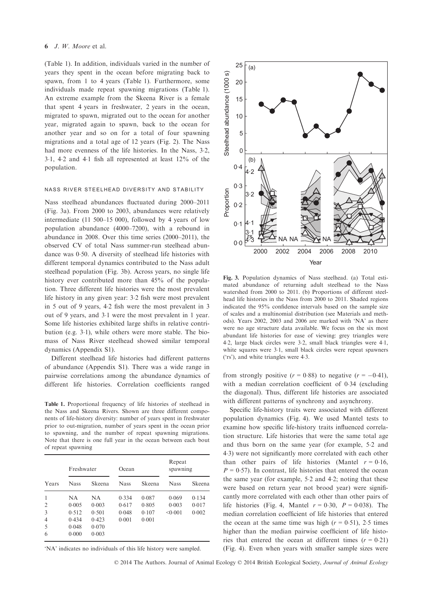#### 6 J. W. Moore et al.

(Table 1). In addition, individuals varied in the number of years they spent in the ocean before migrating back to spawn, from 1 to 4 years (Table 1). Furthermore, some individuals made repeat spawning migrations (Table 1). An extreme example from the Skeena River is a female that spent 4 years in freshwater, 2 years in the ocean, migrated to spawn, migrated out to the ocean for another year, migrated again to spawn, back to the ocean for another year and so on for a total of four spawning migrations and a total age of 12 years (Fig. 2). The Nass had more evenness of the life histories. In the Nass, 3.2, 31, 42 and 41 fish all represented at least 12% of the population.

### nass river steelhead diversity and stability

Nass steelhead abundances fluctuated during 2000–2011 (Fig. 3a). From 2000 to 2003, abundances were relatively intermediate (11 500–15 000), followed by 4 years of low population abundance (4000–7200), with a rebound in abundance in 2008. Over this time series (2000–2011), the observed CV of total Nass summer-run steelhead abundance was 0.50. A diversity of steelhead life histories with different temporal dynamics contributed to the Nass adult steelhead population (Fig. 3b). Across years, no single life history ever contributed more than 45% of the population. Three different life histories were the most prevalent life history in any given year: 32 fish were most prevalent in 5 out of 9 years, 42 fish were the most prevalent in 3 out of 9 years, and 31 were the most prevalent in 1 year. Some life histories exhibited large shifts in relative contribution (e.g. 3.1), while others were more stable. The biomass of Nass River steelhead showed similar temporal dynamics (Appendix S1).

Different steelhead life histories had different patterns of abundance (Appendix S1). There was a wide range in pairwise correlations among the abundance dynamics of different life histories. Correlation coefficients ranged

Table 1. Proportional frequency of life histories of steelhead in the Nass and Skeena Rivers. Shown are three different components of life-history diversity: number of years spent in freshwater prior to out-migration, number of years spent in the ocean prior to spawning, and the number of repeat spawning migrations. Note that there is one full year in the ocean between each bout of repeat spawning

| Years | Freshwater  |        | Ocean       |        | Repeat<br>spawning |        |
|-------|-------------|--------|-------------|--------|--------------------|--------|
|       | <b>Nass</b> | Skeena | <b>Nass</b> | Skeena | <b>Nass</b>        | Skeena |
| 1     | NA          | NA     | 0.334       | 0.087  | 0.069              | 0.134  |
| 2     | 0.005       | 0.003  | 0.617       | 0.805  | 0.003              | 0.017  |
| 3     | 0.512       | 0.501  | 0.048       | 0.107  | < 0.001            | 0.002  |
| 4     | 0.434       | 0.423  | 0.001       | 0.001  |                    |        |
| 5     | 0.048       | 0.070  |             |        |                    |        |
| 6     | 0.000       | 0.003  |             |        |                    |        |

'NA' indicates no individuals of this life history were sampled.



Fig. 3. Population dynamics of Nass steelhead. (a) Total estimated abundance of returning adult steelhead to the Nass watershed from 2000 to 2011. (b) Proportions of different steelhead life histories in the Nass from 2000 to 2011. Shaded regions indicated the 95% confidence intervals based on the sample size of scales and a multinomial distribution (see Materials and methods). Years 2002, 2003 and 2006 are marked with 'NA' as there were no age structure data available. We focus on the six most abundant life histories for ease of viewing: grey triangles were 42, large black circles were 32, small black triangles were 41, white squares were 3.1, small black circles were repeat spawners ('rs'), and white triangles were 43.

from strongly positive  $(r = 0.88)$  to negative  $(r = -0.41)$ , with a median correlation coefficient of 034 (excluding the diagonal). Thus, different life histories are associated with different patterns of synchrony and asynchrony.

Specific life-history traits were associated with different population dynamics (Fig. 4). We used Mantel tests to examine how specific life-history traits influenced correlation structure. Life histories that were the same total age and thus born on the same year (for example, 52 and 43) were not significantly more correlated with each other than other pairs of life histories (Mantel  $r = 0.16$ ,  $P = 0.57$ ). In contrast, life histories that entered the ocean the same year (for example, 52 and 42; noting that these were based on return year not brood year) were significantly more correlated with each other than other pairs of life histories (Fig. 4, Mantel  $r = 0.30$ ,  $P = 0.038$ ). The median correlation coefficient of life histories that entered the ocean at the same time was high  $(r = 0.51)$ , 2.5 times higher than the median pairwise coefficient of life histories that entered the ocean at different times  $(r = 0.21)$ (Fig. 4). Even when years with smaller sample sizes were

© 2014 The Authors. Journal of Animal Ecology © 2014 British Ecological Society, Journal of Animal Ecology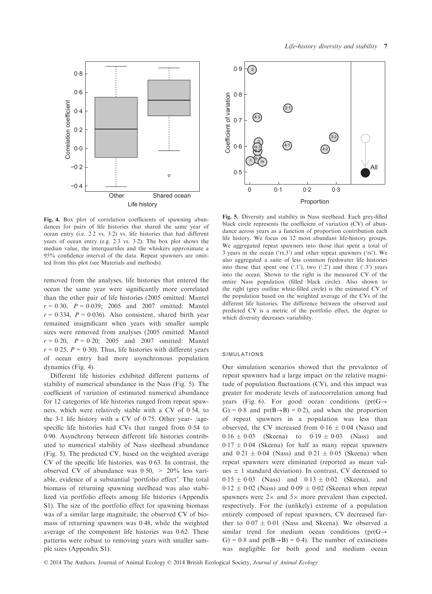

Fig. 4. Box plot of correlation coefficients of spawning abundances for pairs of life histories that shared the same year of ocean entry (i.e. 22 vs. 32) vs. life histories that had different years of ocean entry (e.g. 23 vs. 32). The box plot shows the median value, the interquartiles and the whiskers approximate a 95% confidence interval of the data. Repeat spawners are omitted from this plot (see Materials and methods).

removed from the analyses, life histories that entered the ocean the same year were significantly more correlated than the other pair of life histories (2005 omitted: Mantel  $r = 0.30$ ,  $P = 0.039$ ; 2005 and 2007 omitted: Mantel  $r = 0.334$ ,  $P = 0.036$ ). Also consistent, shared birth year remained insignificant when years with smaller sample sizes were removed from analyses (2005 omitted: Mantel  $r = 0.20$ ,  $P = 0.20$ ; 2005 and 2007 omitted: Mantel  $r = 0.25$ ,  $P = 0.30$ ). Thus, life histories with different years of ocean entry had more asynchronous population dynamics (Fig. 4).

Different life histories exhibited different patterns of stability of numerical abundance in the Nass (Fig. 5). The coefficient of variation of estimated numerical abundance for 12 categories of life histories ranged from repeat spawners, which were relatively stable with a CV of 054, to the 3.1 life history with a CV of 0.75. Other year-  $\frac{1}{2}$ specific life histories had CVs that ranged from 054 to 090. Asynchrony between different life histories contributed to numerical stability of Nass steelhead abundance (Fig. 5). The predicted CV, based on the weighted average CV of the specific life histories, was 063. In contrast, the observed CV of abundance was  $0.50$ ,  $> 20\%$  less variable, evidence of a substantial 'portfolio effect'. The total biomass of returning spawning steelhead was also stabilized via portfolio effects among life histories (Appendix S1). The size of the portfolio effect for spawning biomass was of a similar large magnitude; the observed CV of biomass of returning spawners was 048, while the weighted average of the component life histories was 0.62. These patterns were robust to removing years with smaller sample sizes (Appendix S1).



Fig. 5. Diversity and stability in Nass steelhead. Each grey-filled black circle represents the coefficient of variation (CV) of abundance across years as a function of proportion contribution each life history. We focus on 12 most abundant life-history groups. We aggregated repeat spawners into those that spent a total of 3 years in the ocean ('rs.3') and other repeat spawners ('rs'). We also aggregated a suite of less common freshwater life histories into those that spent one  $(1)$ , two  $(2)$  and three  $(3)$  years into the ocean. Shown to the right is the measured CV of the entire Nass population (filled black circle). Also shown to the right (grey outline white-filled circle) is the estimated CV of the population based on the weighted average of the CVs of the different life histories. The difference between the observed and predicted CV is a metric of the portfolio effect, the degree to which diversity decreases variability.

## simulations

Our simulation scenarios showed that the prevalence of repeat spawners had a large impact on the relative magnitude of population fluctuations (CV), and this impact was greater for moderate levels of autocorrelation among bad years (Fig. 6). For good ocean conditions ( $pr(G \rightarrow$ G) = 0.8 and  $pr(B \rightarrow B) = 0.2$ ), and when the proportion of repeat spawners in a population was less than observed, the CV increased from  $0.16 \pm 0.04$  (Nass) and  $0.16 \pm 0.03$  (Skeena) to  $0.19 \pm 0.03$  (Nass) and  $0.17 \pm 0.04$  (Skeena) for half as many repeat spawners and  $0.21 \pm 0.04$  (Nass) and  $0.21 \pm 0.05$  (Skeena) when repeat spawners were eliminated (reported as mean values  $\pm$  1 standard deviation). In contrast, CV decreased to  $0.15 \pm 0.03$  (Nass) and  $0.13 \pm 0.02$  (Skeena), and  $0.12 \pm 0.02$  (Nass) and  $0.09 \pm 0.02$  (Skeena) when repeat spawners were  $2 \times$  and  $5 \times$  more prevalent than expected, respectively. For the (unlikely) extreme of a population entirely composed of repeat spawners, CV decreased further to  $0.07 \pm 0.01$  (Nass and Skeena). We observed a similar trend for medium ocean conditions ( $pr(G \rightarrow$ G) = 0.8 and  $pr(B \rightarrow B) = 0.4$ ). The number of extinctions was negligible for both good and medium ocean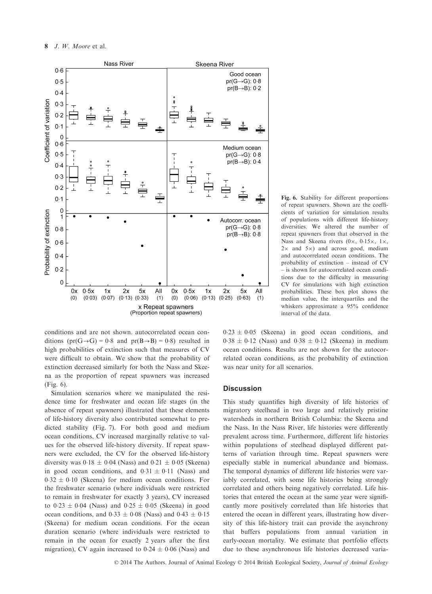

Fig. 6. Stability for different proportions of repeat spawners. Shown are the coefficients of variation for simulation results of populations with different life-history diversities. We altered the number of repeat spawners from that observed in the Nass and Skeena rivers  $(0 \times, 0.15 \times, 1 \times,$  $2 \times$  and  $5 \times$ ) and across good, medium and autocorrelated ocean conditions. The probability of extinction – instead of CV – is shown for autocorrelated ocean conditions due to the difficulty in measuring CV for simulations with high extinction probabilities. These box plot shows the median value, the interquartiles and the whiskers approximate a 95% confidence interval of the data.

conditions and are not shown. autocorrelated ocean conditions  $(pr(G \rightarrow G) = 0.8$  and  $pr(B \rightarrow B) = 0.8)$  resulted in high probabilities of extinction such that measures of CV were difficult to obtain. We show that the probability of extinction decreased similarly for both the Nass and Skeena as the proportion of repeat spawners was increased (Fig. 6).

Simulation scenarios where we manipulated the residence time for freshwater and ocean life stages (in the absence of repeat spawners) illustrated that these elements of life-history diversity also contributed somewhat to predicted stability (Fig. 7). For both good and medium ocean conditions, CV increased marginally relative to values for the observed life-history diversity. If repeat spawners were excluded, the CV for the observed life-history diversity was  $0.18 \pm 0.04$  (Nass) and  $0.21 \pm 0.05$  (Skeena) in good ocean conditions, and  $0.31 \pm 0.11$  (Nass) and  $0.32 \pm 0.10$  (Skeena) for medium ocean conditions. For the freshwater scenario (where individuals were restricted to remain in freshwater for exactly 3 years), CV increased to  $0.23 \pm 0.04$  (Nass) and  $0.25 \pm 0.05$  (Skeena) in good ocean conditions, and  $0.33 \pm 0.08$  (Nass) and  $0.43 \pm 0.15$ (Skeena) for medium ocean conditions. For the ocean duration scenario (where individuals were restricted to remain in the ocean for exactly 2 years after the first migration), CV again increased to  $0.24 \pm 0.06$  (Nass) and

 $0.23 \pm 0.05$  (Skeena) in good ocean conditions, and  $0.38 \pm 0.12$  (Nass) and  $0.38 \pm 0.12$  (Skeena) in medium ocean conditions. Results are not shown for the autocorrelated ocean conditions, as the probability of extinction was near unity for all scenarios.

# **Discussion**

This study quantifies high diversity of life histories of migratory steelhead in two large and relatively pristine watersheds in northern British Columbia: the Skeena and the Nass. In the Nass River, life histories were differently prevalent across time. Furthermore, different life histories within populations of steelhead displayed different patterns of variation through time. Repeat spawners were especially stable in numerical abundance and biomass. The temporal dynamics of different life histories were variably correlated, with some life histories being strongly correlated and others being negatively correlated. Life histories that entered the ocean at the same year were significantly more positively correlated than life histories that entered the ocean in different years, illustrating how diversity of this life-history trait can provide the asynchrony that buffers populations from annual variation in early-ocean mortality. We estimate that portfolio effects due to these asynchronous life histories decreased varia-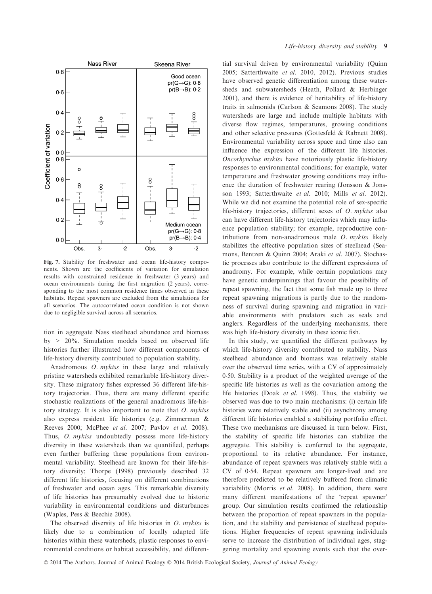

Fig. 7. Stability for freshwater and ocean life-history components. Shown are the coefficients of variation for simulation results with constrained residence in freshwater (3 years) and ocean environments during the first migration (2 years), corresponding to the most common residence times observed in these habitats. Repeat spawners are excluded from the simulations for all scenarios. The autocorrelated ocean condition is not shown due to negligible survival across all scenarios.

tion in aggregate Nass steelhead abundance and biomass by > 20%. Simulation models based on observed life histories further illustrated how different components of life-history diversity contributed to population stability.

Anadromous O. mykiss in these large and relatively pristine watersheds exhibited remarkable life-history diversity. These migratory fishes expressed 36 different life-history trajectories. Thus, there are many different specific stochastic realizations of the general anadromous life-history strategy. It is also important to note that  $O$ . mykiss also express resident life histories (e.g. Zimmerman & Reeves 2000; McPhee et al. 2007; Pavlov et al. 2008). Thus, O. mykiss undoubtedly possess more life-history diversity in these watersheds than we quantified, perhaps even further buffering these populations from environmental variability. Steelhead are known for their life-history diversity; Thorpe (1998) previously described 32 different life histories, focusing on different combinations of freshwater and ocean ages. This remarkable diversity of life histories has presumably evolved due to historic variability in environmental conditions and disturbances (Waples, Pess & Beechie 2008).

The observed diversity of life histories in  $O$ . mykiss is likely due to a combination of locally adapted life histories within these watersheds, plastic responses to environmental conditions or habitat accessibility, and differen-

tial survival driven by environmental variability (Quinn 2005; Satterthwaite et al. 2010, 2012). Previous studies have observed genetic differentiation among these watersheds and subwatersheds (Heath, Pollard & Herbinger 2001), and there is evidence of heritability of life-history traits in salmonids (Carlson & Seamons 2008). The study watersheds are large and include multiple habitats with diverse flow regimes, temperatures, growing conditions and other selective pressures (Gottesfeld & Rabnett 2008). Environmental variability across space and time also can influence the expression of the different life histories. Oncorhynchus mykiss have notoriously plastic life-history responses to environmental conditions; for example, water temperature and freshwater growing conditions may influence the duration of freshwater rearing (Jonsson & Jonsson 1993; Satterthwaite et al. 2010; Mills et al. 2012). While we did not examine the potential role of sex-specific life-history trajectories, different sexes of O. mykiss also can have different life-history trajectories which may influence population stability; for example, reproductive contributions from non-anadromous male O. mykiss likely stabilizes the effective population sizes of steelhead (Seamons, Bentzen & Quinn 2004; Araki et al. 2007). Stochastic processes also contribute to the different expressions of anadromy. For example, while certain populations may have genetic underpinnings that favour the possibility of repeat spawning, the fact that some fish made up to three repeat spawning migrations is partly due to the randomness of survival during spawning and migration in variable environments with predators such as seals and anglers. Regardless of the underlying mechanisms, there was high life-history diversity in these iconic fish.

In this study, we quantified the different pathways by which life-history diversity contributed to stability. Nass steelhead abundance and biomass was relatively stable over the observed time series, with a CV of approximately 050. Stability is a product of the weighted average of the specific life histories as well as the covariation among the life histories (Doak et al. 1998). Thus, the stability we observed was due to two main mechanisms: (i) certain life histories were relatively stable and (ii) asynchrony among different life histories enabled a stabilizing portfolio effect. These two mechanisms are discussed in turn below. First, the stability of specific life histories can stabilize the aggregate. This stability is conferred to the aggregate, proportional to its relative abundance. For instance, abundance of repeat spawners was relatively stable with a CV of 054. Repeat spawners are longer-lived and are therefore predicted to be relatively buffered from climatic variability (Morris et al. 2008). In addition, there were many different manifestations of the 'repeat spawner' group. Our simulation results confirmed the relationship between the proportion of repeat spawners in the population, and the stability and persistence of steelhead populations. Higher frequencies of repeat spawning individuals serve to increase the distribution of individual ages, staggering mortality and spawning events such that the over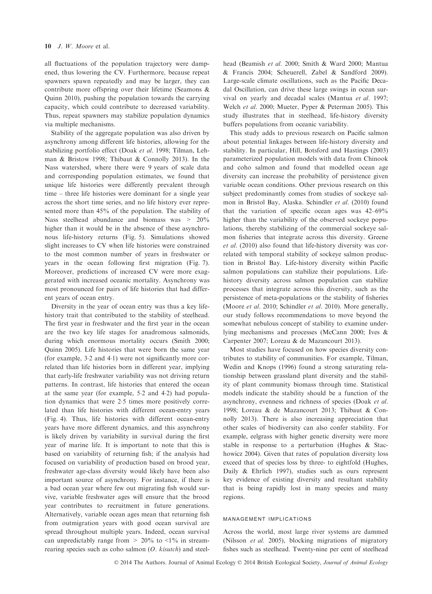all fluctuations of the population trajectory were dampened, thus lowering the CV. Furthermore, because repeat spawners spawn repeatedly and may be larger, they can contribute more offspring over their lifetime (Seamons & Quinn 2010), pushing the population towards the carrying capacity, which could contribute to decreased variability. Thus, repeat spawners may stabilize population dynamics via multiple mechanisms.

Stability of the aggregate population was also driven by asynchrony among different life histories, allowing for the stabilizing portfolio effect (Doak et al. 1998; Tilman, Lehman & Bristow 1998; Thibaut & Connolly 2013). In the Nass watershed, where there were 9 years of scale data and corresponding population estimates, we found that unique life histories were differently prevalent through time – three life histories were dominant for a single year across the short time series, and no life history ever represented more than 45% of the population. The stability of Nass steelhead abundance and biomass was  $> 20\%$ higher than it would be in the absence of these asynchronous life-history returns (Fig. 5). Simulations showed slight increases to CV when life histories were constrained to the most common number of years in freshwater or years in the ocean following first migration (Fig. 7). Moreover, predictions of increased CV were more exaggerated with increased oceanic mortality. Asynchrony was most pronounced for pairs of life histories that had different years of ocean entry.

Diversity in the year of ocean entry was thus a key lifehistory trait that contributed to the stability of steelhead. The first year in freshwater and the first year in the ocean are the two key life stages for anadromous salmonids, during which enormous mortality occurs (Smith 2000; Quinn 2005). Life histories that were born the same year (for example, 32 and 41) were not significantly more correlated than life histories born in different year, implying that early-life freshwater variability was not driving return patterns. In contrast, life histories that entered the ocean at the same year (for example, 52 and 42) had population dynamics that were 25 times more positively correlated than life histories with different ocean-entry years (Fig. 4). Thus, life histories with different ocean-entry years have more different dynamics, and this asynchrony is likely driven by variability in survival during the first year of marine life. It is important to note that this is based on variability of returning fish; if the analysis had focused on variability of production based on brood year, freshwater age-class diversity would likely have been also important source of asynchrony. For instance, if there is a bad ocean year where few out migrating fish would survive, variable freshwater ages will ensure that the brood year contributes to recruitment in future generations. Alternatively, variable ocean ages mean that returning fish from outmigration years with good ocean survival are spread throughout multiple years. Indeed, ocean survival can unpredictably range from  $> 20\%$  to  $\leq 1\%$  in streamrearing species such as coho salmon (O. kisutch) and steelhead (Beamish et al. 2000; Smith & Ward 2000; Mantua & Francis 2004; Scheuerell, Zabel & Sandford 2009). Large-scale climate oscillations, such as the Pacific Decadal Oscillation, can drive these large swings in ocean survival on yearly and decadal scales (Mantua et al. 1997; Welch et al. 2000; Mueter, Pyper & Peterman 2005). This study illustrates that in steelhead, life-history diversity buffers populations from oceanic variability.

This study adds to previous research on Pacific salmon about potential linkages between life-history diversity and stability. In particular, Hill, Botsford and Hastings (2003) parameterized population models with data from Chinook and coho salmon and found that modelled ocean age diversity can increase the probability of persistence given variable ocean conditions. Other previous research on this subject predominantly comes from studies of sockeye salmon in Bristol Bay, Alaska. Schindler et al. (2010) found that the variation of specific ocean ages was 42–69% higher than the variability of the observed sockeye populations, thereby stabilizing of the commercial sockeye salmon fisheries that integrate across this diversity. Greene et al. (2010) also found that life-history diversity was correlated with temporal stability of sockeye salmon production in Bristol Bay. Life-history diversity within Pacific salmon populations can stabilize their populations. Lifehistory diversity across salmon population can stabilize processes that integrate across this diversity, such as the persistence of meta-populations or the stability of fisheries (Moore et al. 2010; Schindler et al. 2010). More generally, our study follows recommendations to move beyond the somewhat nebulous concept of stability to examine underlying mechanisms and processes (McCann 2000; Ives & Carpenter 2007; Loreau & de Mazancourt 2013).

Most studies have focused on how species diversity contributes to stability of communities. For example, Tilman, Wedin and Knops (1996) found a strong saturating relationship between grassland plant diversity and the stability of plant community biomass through time. Statistical models indicate the stability should be a function of the asynchrony, evenness and richness of species (Doak et al. 1998; Loreau & de Mazancourt 2013; Thibaut & Connolly 2013). There is also increasing appreciation that other scales of biodiversity can also confer stability. For example, eelgrass with higher genetic diversity were more stable in response to a perturbation (Hughes & Stachowicz 2004). Given that rates of population diversity loss exceed that of species loss by three- to eightfold (Hughes, Daily & Ehrlich 1997), studies such as ours represent key evidence of existing diversity and resultant stability that is being rapidly lost in many species and many regions.

# management implications

Across the world, most large river systems are dammed (Nilsson et al. 2005), blocking migrations of migratory fishes such as steelhead. Twenty-nine per cent of steelhead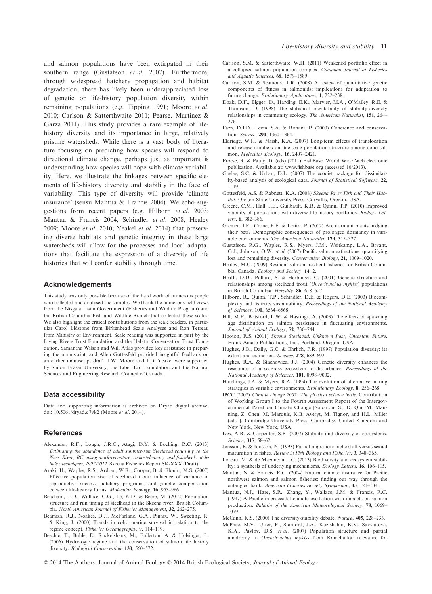and salmon populations have been extirpated in their southern range (Gustafson et al. 2007). Furthermore, through widespread hatchery propagation and habitat degradation, there has likely been underappreciated loss of genetic or life-history population diversity within remaining populations (e.g. Tipping 1991; Moore et al. 2010; Carlson & Satterthwaite 2011; Pearse, Martinez & Garza 2011). This study provides a rare example of lifehistory diversity and its importance in large, relatively pristine watersheds. While there is a vast body of literature focusing on predicting how species will respond to directional climate change, perhaps just as important is understanding how species will cope with climate variability. Here, we illustrate the linkages between specific elements of life-history diversity and stability in the face of variability. This type of diversity will provide 'climate insurance' (sensu Mantua & Francis 2004). We echo suggestions from recent papers (e.g. Hilborn et al. 2003; Mantua & Francis 2004; Schindler et al. 2008; Healey 2009; Moore et al. 2010; Yeakel et al. 2014) that preserving diverse habitats and genetic integrity in these large watersheds will allow for the processes and local adaptations that facilitate the expression of a diversity of life histories that will confer stability through time.

#### Acknowledgements

This study was only possible because of the hard work of numerous people who collected and analysed the samples. We thank the numerous field crews from the Nisga'a Lisim Government (Fisheries and Wildlife Program) and the British Columbia Fish and Wildlife Branch that collected these scales. We also highlight the critical contributions from the scale readers, in particular Carol Lidstone from Birkenhead Scale Analyses and Ron Tetreau from Ministry of Environment. Scale reading was supported in part by the Living Rivers Trust Foundation and the Habitat Conservation Trust Foundation. Samantha Wilson and Will Atlas provided key assistance in preparing the manuscript, and Allen Gottesfeld provided insightful feedback on an earlier manuscript draft. J.W. Moore and J.D. Yeakel were supported by Simon Fraser University, the Liber Ero Foundation and the Natural Sciences and Engineering Research Council of Canada.

## Data accessibility

Data and supporting information is archived on Dryad digital archive, doi: 10.5061/dryad.q7vk2 (Moore et al. 2014).

## **References**

- Alexander, R.F., Lough, J.R.C., Atagi, D.Y. & Bocking, R.C. (2013) Estimating the abundance of adult summer-run Steelhead returning to the Nass River, BC, using mark-recapture, radio-telemetry, and fishwheel catchindex techniques, 1992-2012. Skeena Fisheries Report SK-XXX (Draft).
- Araki, H., Waples, R.S., Ardren, W.R., Cooper, B. & Blouin, M.S. (2007) Effective population size of steelhead trout: influence of variance in reproductive success, hatchery programs, and genetic compensation between life-history forms. Molecular Ecology, 16, 953–966.
- Beacham, T.D., Wallace, C.G., Le, K.D. & Beere, M. (2012) Population structure and run timing of steelhead in the Skeena river, British Columbia. North American Journal of Fisheries Management, 32, 262–275.
- Beamish, R.J., Noakes, D.J., McFarlane, G.A., Pinnix, W., Sweeting, R. & King, J. (2000) Trends in coho marine survival in relation to the regime concept. Fisheries Oceanography, 9, 114–119.
- Beechie, T., Buhle, E., Ruckelshaus, M., Fullerton, A. & Holsinger, L. (2006) Hydrologic regime and the conservation of salmon life history diversity. Biological Conservation, 130, 560–572.
- Carlson, S.M. & Satterthwaite, W.H. (2011) Weakened portfolio effect in a collapsed salmon population complex. Canadian Journal of Fisheries and Aquatic Sciences, 68, 1579–1589.
- Carlson, S.M. & Seamons, T.R. (2008) A review of quantitative genetic components of fitness in salmonids: implications for adaptation to future change. Evolutionary Applications, 1, 222–238.
- Doak, D.F., Bigger, D., Harding, E.K., Marvier, M.A., O'Malley, R.E. & Thomson, D. (1998) The statistical inevitability of stability-diversity relationships in community ecology. The American Naturalist, 151, 264– 276.
- Earn, D.J.D., Levin, S.A. & Rohani, P. (2000) Coherence and conservation. Science, 290, 1360–1364.
- Eldridge, W.H. & Naish, K.A. (2007) Long-term effects of translocation and release numbers on fine-scale population structure among coho salmon. Molecular Ecology, 16, 2407–2421.
- Froese, R. & Pauly, D. (eds) (2011) FishBase. World Wide Web electronic publication. Available at: www.fishbase.org (accessed 10/2013).
- Goslee, S.C. & Urban, D.L. (2007) The ecodist package for dissimilarity-based analysis of ecological data. Journal of Statistical Software, 22, 1–19.
- Gottesfeld, A.S. & Rabnett, K.A. (2008) Skeena River Fish and Their Habitat. Oregon State University Press, Corvallis, Oregon, USA.
- Greene, C.M., Hall, J.E., Guilbault, K.R. & Quinn, T.P. (2010) Improved viability of populations with diverse life-history portfolios. Biology Letters, 6, 382–386.
- Gremer, J.R., Crone, E.E. & Lesica, P. (2012) Are dormant plants hedging their bets? Demographic consequences of prolonged dormancy in variable environments. The American Naturalist, 179, 315–327.
- Gustafson, R.G., Waples, R.S., Myers, J.M., Weitkamp, L.A., Bryant, G.J., Johnson, O.W. et al. (2007) Pacific salmon extinctions: quantifying lost and remaining diversity. Conservation Biology, 21, 1009–1020.
- Healey, M.C. (2009) Resilient salmon, resilient fisheries for British Columbia, Canada. Ecology and Society, 14, 2.
- Heath, D.D., Pollard, S. & Herbinger, C. (2001) Genetic structure and relationships among steelhead trout (Oncorhynchus mykiss) populations in British Columbia. Heredity, 86, 618–627.
- Hilborn, R., Quinn, T.P., Schindler, D.E. & Rogers, D.E. (2003) Biocomplexity and fisheries sustainability. Proceedings of the National Academy of Sciences, 100, 6564–6568.
- Hill, M.F., Botsford, L.W. & Hastings, A. (2003) The effects of spawning age distribution on salmon persistence in fluctuating environments. Journal of Animal Ecology, 72, 736-744.
- Hooton, R.S. (2011) Skeena Steelhead: Unknown Past, Uncertain Future. Frank Amato Publications, Inc., Portland, Oregon, USA.
- Hughes, J.B., Daily, G.C. & Ehrlich, P.R. (1997) Population diversity: its extent and extinction. Science, 278, 689–692.
- Hughes, R.A. & Stachowicz, J.J. (2004) Genetic diversity enhances the resistance of a seagrass ecosystem to disturbance. Proceedings of the National Academy of Sciences, 101, 8998–9002.
- Hutchings, J.A. & Myers, R.A. (1994) The evolution of alternative mating strategies in variable environments. Evolutionary Ecology, 8, 256–268.
- IPCC (2007) Climate change 2007: The physical science basis. Contribution of Working Group I to the Fourth Assessment Report of the Intergovernmental Panel on Climate Change [Solomon, S., D. Qin, M. Manning, Z. Chen, M. Marquis, K.B. Averyt, M. Tignor, and H.L. Miller (eds.)]. Cambridge University Press, Cambridge, United Kingdom and New York, New York, USA.
- Ives, A.R. & Carpenter, S.R. (2007) Stability and diversity of ecosystems. Science, 317, 58–62.
- Jonsson, B. & Jonsson, N. (1993) Partial migration: niche shift versus sexual maturation in fishes. Review in Fish Biology and Fisheries, 3, 348–365.
- Loreau, M. & de Mazancourt, C. (2013) Biodiversity and ecosystem stability: a synthesis of underlying mechanisms. Ecology Letters, 16, 106–115.
- Mantua, N. & Francis, R.C. (2004) Natural climate insurance for Pacific northwest salmon and salmon fisheries: finding our way through the entangled bank. American Fisheries Society Symposium, 43, 121–134.
- Mantua, N.J., Hare, S.R., Zhang, Y., Wallace, J.M. & Francis, R.C. (1997) A Pacific interdecadal climate oscillation with impacts on salmon production. Bulletin of the American Meteorological Society, 78, 1069– 1079.
- McCann, K.S. (2000) The diversity-stability debate. Nature, 405, 228–233.
- McPhee, M.V., Utter, F., Stanford, J.A., Kuzishchin, K.V., Savvaitova, K.A., Pavlov, D.S. et al. (2007) Population structure and partial anadromy in Oncorhynchus mykiss from Kamchatka: relevance for
- © 2014 The Authors. Journal of Animal Ecology © 2014 British Ecological Society, Journal of Animal Ecology